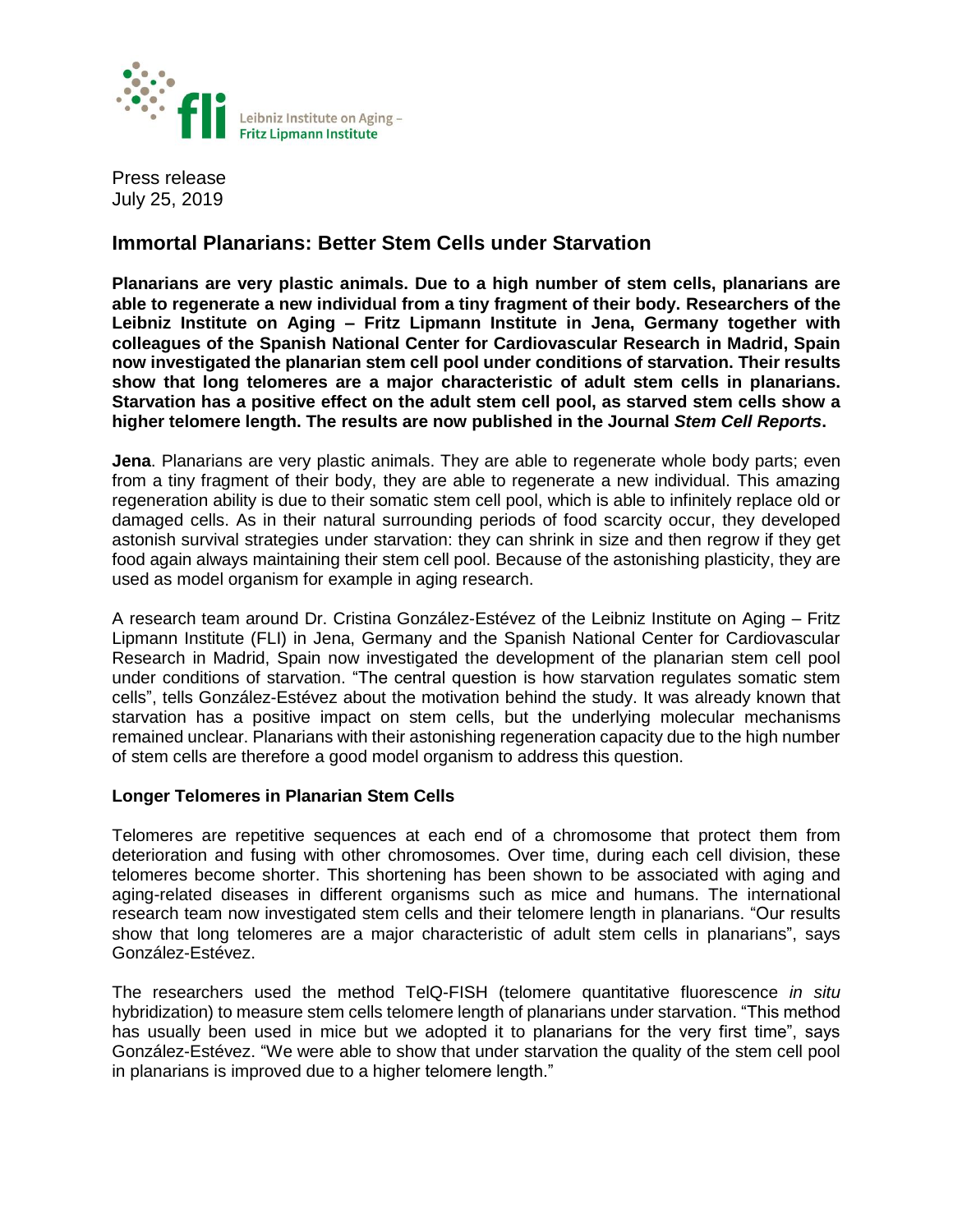

Press release July 25, 2019

# **Immortal Planarians: Better Stem Cells under Starvation**

**Planarians are very plastic animals. Due to a high number of stem cells, planarians are able to regenerate a new individual from a tiny fragment of their body. Researchers of the Leibniz Institute on Aging – Fritz Lipmann Institute in Jena, Germany together with colleagues of the Spanish National Center for Cardiovascular Research in Madrid, Spain now investigated the planarian stem cell pool under conditions of starvation. Their results show that long telomeres are a major characteristic of adult stem cells in planarians. Starvation has a positive effect on the adult stem cell pool, as starved stem cells show a higher telomere length. The results are now published in the Journal** *Stem Cell Reports***.**

**Jena**. Planarians are very plastic animals. They are able to regenerate whole body parts; even from a tiny fragment of their body, they are able to regenerate a new individual. This amazing regeneration ability is due to their somatic stem cell pool, which is able to infinitely replace old or damaged cells. As in their natural surrounding periods of food scarcity occur, they developed astonish survival strategies under starvation: they can shrink in size and then regrow if they get food again always maintaining their stem cell pool. Because of the astonishing plasticity, they are used as model organism for example in aging research.

A research team around Dr. Cristina González-Estévez of the Leibniz Institute on Aging – Fritz Lipmann Institute (FLI) in Jena, Germany and the Spanish National Center for Cardiovascular Research in Madrid, Spain now investigated the development of the planarian stem cell pool under conditions of starvation. "The central question is how starvation regulates somatic stem cells", tells González-Estévez about the motivation behind the study. It was already known that starvation has a positive impact on stem cells, but the underlying molecular mechanisms remained unclear. Planarians with their astonishing regeneration capacity due to the high number of stem cells are therefore a good model organism to address this question.

# **Longer Telomeres in Planarian Stem Cells**

Telomeres are repetitive sequences at each end of a chromosome that protect them from deterioration and fusing with other chromosomes. Over time, during each cell division, these telomeres become shorter. This shortening has been shown to be associated with aging and aging-related diseases in different organisms such as mice and humans. The international research team now investigated stem cells and their telomere length in planarians. "Our results show that long telomeres are a major characteristic of adult stem cells in planarians", says González-Estévez.

The researchers used the method TelQ-FISH (telomere quantitative fluorescence *in situ* hybridization) to measure stem cells telomere length of planarians under starvation. "This method has usually been used in mice but we adopted it to planarians for the very first time", says González-Estévez. "We were able to show that under starvation the quality of the stem cell pool in planarians is improved due to a higher telomere length."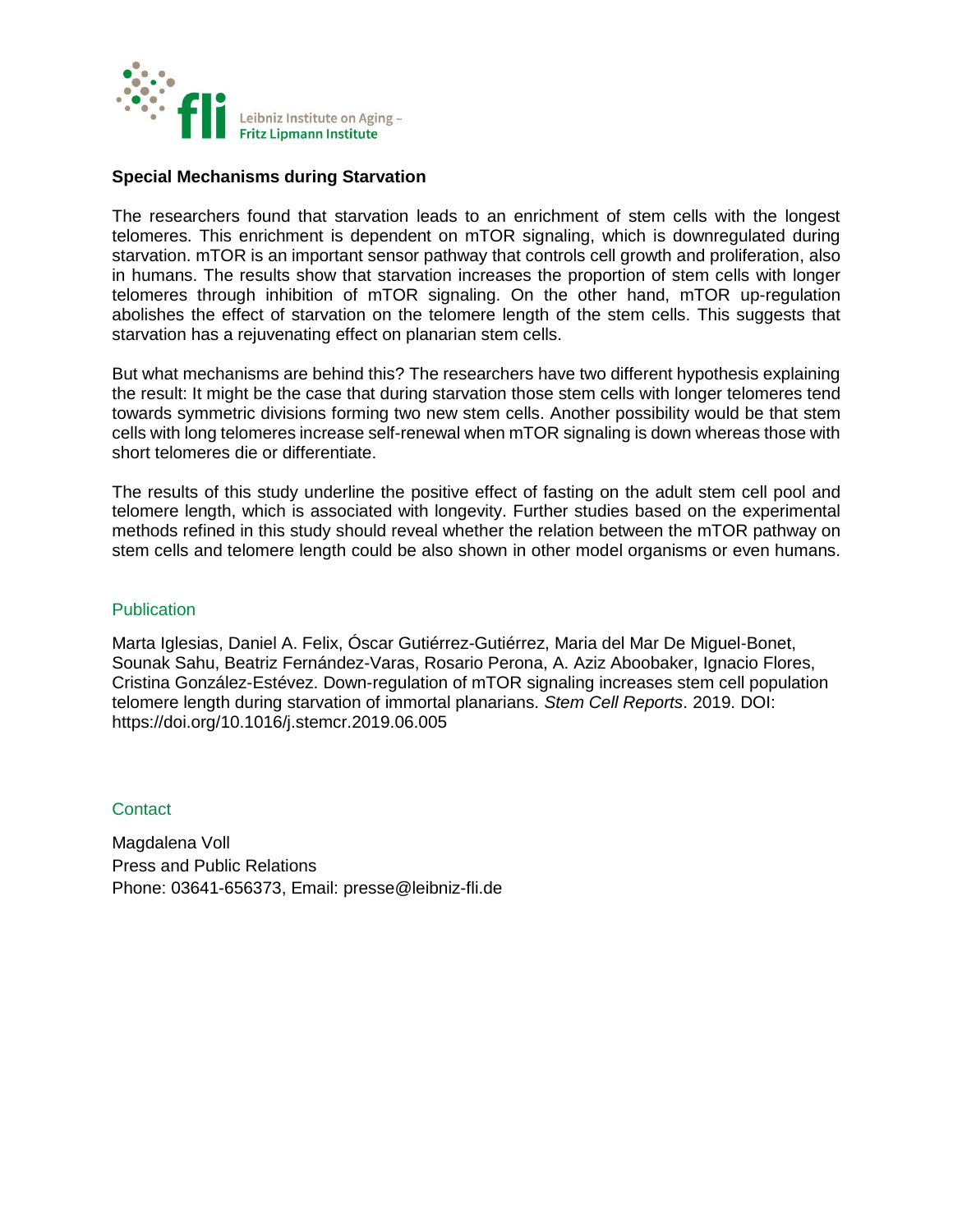

## **Special Mechanisms during Starvation**

The researchers found that starvation leads to an enrichment of stem cells with the longest telomeres. This enrichment is dependent on mTOR signaling, which is downregulated during starvation. mTOR is an important sensor pathway that controls cell growth and proliferation, also in humans. The results show that starvation increases the proportion of stem cells with longer telomeres through inhibition of mTOR signaling. On the other hand, mTOR up-regulation abolishes the effect of starvation on the telomere length of the stem cells. This suggests that starvation has a rejuvenating effect on planarian stem cells.

But what mechanisms are behind this? The researchers have two different hypothesis explaining the result: It might be the case that during starvation those stem cells with longer telomeres tend towards symmetric divisions forming two new stem cells. Another possibility would be that stem cells with long telomeres increase self-renewal when mTOR signaling is down whereas those with short telomeres die or differentiate.

The results of this study underline the positive effect of fasting on the adult stem cell pool and telomere length, which is associated with longevity. Further studies based on the experimental methods refined in this study should reveal whether the relation between the mTOR pathway on stem cells and telomere length could be also shown in other model organisms or even humans.

#### **Publication**

Marta Iglesias, Daniel A. Felix, Óscar Gutiérrez-Gutiérrez, Maria del Mar De Miguel-Bonet, Sounak Sahu, Beatriz Fernández-Varas, Rosario Perona, A. Aziz Aboobaker, Ignacio Flores, Cristina González-Estévez. Down-regulation of mTOR signaling increases stem cell population telomere length during starvation of immortal planarians. *Stem Cell Reports*. 2019. DOI: https://doi.org/10.1016/j.stemcr.2019.06.005

## **Contact**

Magdalena Voll Press and Public Relations Phone: 03641-656373, Email: [presse@leibniz-fli.de](mailto:presse@leibniz-fli.de)